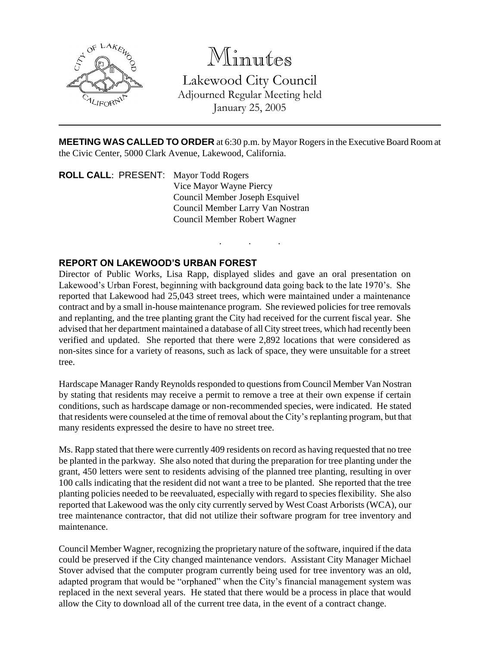

## Minutes

Lakewood City Council Adjourned Regular Meeting held January 25, 2005

**MEETING WAS CALLED TO ORDER** at 6:30 p.m. by Mayor Rogers in the Executive Board Room at the Civic Center, 5000 Clark Avenue, Lakewood, California.

. . .

**ROLL CALL**: PRESENT: Mayor Todd Rogers Vice Mayor Wayne Piercy Council Member Joseph Esquivel Council Member Larry Van Nostran Council Member Robert Wagner

## **REPORT ON LAKEWOOD'S URBAN FOREST**

Director of Public Works, Lisa Rapp, displayed slides and gave an oral presentation on Lakewood's Urban Forest, beginning with background data going back to the late 1970's. She reported that Lakewood had 25,043 street trees, which were maintained under a maintenance contract and by a small in-house maintenance program. She reviewed policies for tree removals and replanting, and the tree planting grant the City had received for the current fiscal year. She advised that her department maintained a database of all City street trees, which had recently been verified and updated. She reported that there were 2,892 locations that were considered as non-sites since for a variety of reasons, such as lack of space, they were unsuitable for a street tree.

Hardscape Manager Randy Reynolds responded to questions from Council Member Van Nostran by stating that residents may receive a permit to remove a tree at their own expense if certain conditions, such as hardscape damage or non-recommended species, were indicated. He stated that residents were counseled at the time of removal about the City's replanting program, but that many residents expressed the desire to have no street tree.

Ms. Rapp stated that there were currently 409 residents on record as having requested that no tree be planted in the parkway. She also noted that during the preparation for tree planting under the grant, 450 letters were sent to residents advising of the planned tree planting, resulting in over 100 calls indicating that the resident did not want a tree to be planted. She reported that the tree planting policies needed to be reevaluated, especially with regard to species flexibility. She also reported that Lakewood was the only city currently served by West Coast Arborists (WCA), our tree maintenance contractor, that did not utilize their software program for tree inventory and maintenance.

Council Member Wagner, recognizing the proprietary nature of the software, inquired if the data could be preserved if the City changed maintenance vendors. Assistant City Manager Michael Stover advised that the computer program currently being used for tree inventory was an old, adapted program that would be "orphaned" when the City's financial management system was replaced in the next several years. He stated that there would be a process in place that would allow the City to download all of the current tree data, in the event of a contract change.